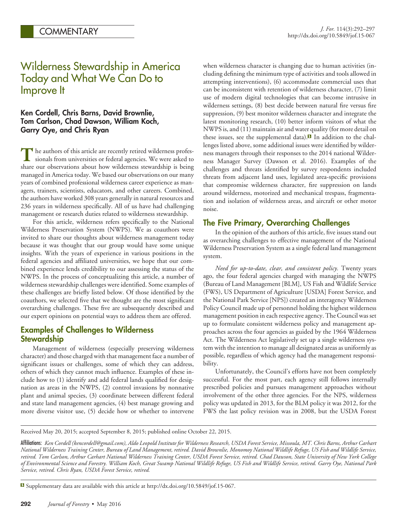# Wilderness Stewardship in America Today and What We Can Do to Improve It

## **Ken Cordell, Chris Barns, David Brownlie, Tom Carlson, Chad Dawson, William Koch, Garry Oye, and Chris Ryan**

The authors of this article are recently retired wilderness professionals from universities or federal agencies. We were asked to share our observations about how wilderness stewardship is being managed in America today. We based our observations on our many years of combined professional wilderness career experience as managers, trainers, scientists, educators, and other careers. Combined, the authors have worked 308 years generally in natural resources and 236 years in wilderness specifically. All of us have had challenging management or research duties related to wilderness stewardship.

For this article, wilderness refers specifically to the National Wilderness Preservation System (NWPS). We as coauthors were invited to share our thoughts about wilderness management today because it was thought that our group would have some unique insights. With the years of experience in various positions in the federal agencies and affiliated universities, we hope that our combined experience lends credibility to our assessing the status of the NWPS. In the process of conceptualizing this article, a number of wilderness stewardship challenges were identified. Some examples of these challenges are briefly listed below. Of those identified by the coauthors, we selected five that we thought are the most significant overarching challenges. These five are subsequently described and our expert opinions on potential ways to address them are offered.

## **Examples of Challenges to Wilderness Stewardship**

Management of wilderness (especially preserving wilderness character) and those charged with that management face a number of significant issues or challenges, some of which they can address, others of which they cannot much influence. Examples of these include how to (1) identify and add federal lands qualified for designation as areas in the NWPS, (2) control invasions by nonnative plant and animal species, (3) coordinate between different federal and state land management agencies, (4) best manage growing and more diverse visitor use, (5) decide how or whether to intervene when wilderness character is changing due to human activities (including defining the minimum type of activities and tools allowed in attempting interventions), (6) accommodate commercial uses that can be inconsistent with retention of wilderness character, (7) limit use of modern digital technologies that can become intrusive in wilderness settings, (8) best decide between natural fire versus fire suppression, (9) best monitor wilderness character and integrate the latest monitoring research, (10) better inform visitors of what the NWPS is, and (11) maintain air and water quality (for more detail on these issues, see the supplemental data[\).](#page-0-0) $\blacksquare$  In addition to the challenges listed above, some additional issues were identified by wilderness managers through their responses to the 2014 national Wilderness Manager Survey (Dawson et al. 2016). Examples of the challenges and threats identified by survey respondents included threats from adjacent land uses, legislated area-specific provisions that compromise wilderness character, fire suppression on lands around wilderness, motorized and mechanical trespass, fragmentation and isolation of wilderness areas, and aircraft or other motor noise.

# **The Five Primary, Overarching Challenges**

In the opinion of the authors of this article, five issues stand out as overarching challenges to effective management of the National Wilderness Preservation System as a single federal land management system.

*Need for up-to-date, clear, and consistent policy.* Twenty years ago, the four federal agencies charged with managing the NWPS (Bureau of Land Management [BLM], US Fish and Wildlife Service (FWS), US Department of Agriculture [USDA] Forest Service, and the National Park Service [NPS]) created an interagency Wilderness Policy Council made up of personnel holding the highest wilderness management position in each respective agency. The Council was set up to formulate consistent wilderness policy and management approaches across the four agencies as guided by the 1964 Wilderness Act. The Wilderness Act legislatively set up a single wilderness system with the intention to manage all designated areas as uniformly as possible, regardless of which agency had the management responsibility.

Unfortunately, the Council's efforts have not been completely successful. For the most part, each agency still follows internally prescribed policies and pursues management approaches without involvement of the other three agencies. For the NPS, wilderness policy was updated in 2013, for the BLM policy it was 2012, for the FWS the last policy revision was in 2008, but the USDA Forest

Received May 20, 2015; accepted September 8, 2015; published online October 22, 2015.

Affiliations: *Ken Cordell (kencordell@gmail.com), Aldo Leopold Institute for Wilderness Research, USDA Forest Service, Missoula, MT. Chris Barns, Arthur Carhart National Wilderness Training Center, Bureau of Land Management, retired. David Brownlie, Monomoy National Wildlife Refuge, US Fish and Wildlife Service, retired. Tom Carlson, Arthur Carhart National Wilderness Training Center, USDA Forest Service, retired. Chad Dawson, State University of New York College of Environmental Science and Forestry. William Koch, Great Swamp National Wildlife Refuge, US Fish and Wildlife Service, retired. Garry Oye, National Park Service, retired. Chris Ryan, USDA Forest Service, retired.*

<span id="page-0-0"></span>Supplementary data are available with this article at [http://dx.doi.org/10.5849/jof.15-067.](http://dx.doi.org/10.5849/jof.15-067)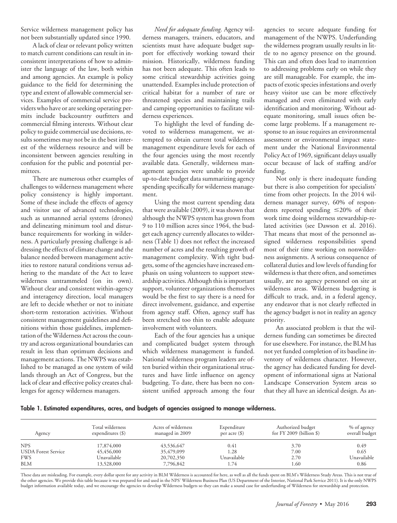Service wilderness management policy has not been substantially updated since 1990.

A lack of clear or relevant policy written to match current conditions can result in inconsistent interpretations of how to administer the language of the law, both within and among agencies. An example is policy guidance to the field for determining the type and extent of allowable commercial services. Examples of commercial service providers who have or are seeking operating permits include backcountry outfitters and commercial filming interests. Without clear policy to guide commercial use decisions, results sometimes may not be in the best interest of the wilderness resource and will be inconsistent between agencies resulting in confusion for the public and potential permittees.

There are numerous other examples of challenges to wilderness management where policy consistency is highly important. Some of these include the effects of agency and visitor use of advanced technologies, such as unmanned aerial systems (drones) and delineating minimum tool and disturbance requirements for working in wilderness. A particularly pressing challenge is addressing the effects of climate change and the balance needed between management activities to restore natural conditions versus adhering to the mandate of the Act to leave wilderness untrammeled (on its own). Without clear and consistent within-agency and interagency direction, local managers are left to decide whether or not to initiate short-term restoration activities. Without consistent management guidelines and definitions within those guidelines, implementation of the Wilderness Act across the country and across organizational boundaries can result in less than optimum decisions and management actions. The NWPS was established to be managed as one system of wild lands through an Act of Congress, but the lack of clear and effective policy creates challenges for agency wilderness managers.

*Need for adequate funding.* Agency wilderness managers, trainers, educators, and scientists must have adequate budget support for effectively working toward their mission. Historically, wilderness funding has not been adequate. This often leads to some critical stewardship activities going unattended. Examples include protection of critical habitat for a number of rare or threatened species and maintaining trails and camping opportunities to facilitate wilderness experiences.

To highlight the level of funding devoted to wilderness management, we attempted to obtain current total wilderness management expenditure levels for each of the four agencies using the most recently available data. Generally, wilderness management agencies were unable to provide up-to-date budget data summarizing agency spending specifically for wilderness management.

Using the most current spending data that were available (2009), it was shown that although the NWPS system has grown from 9 to 110 million acres since 1964, the budget each agency currently allocates to wilderness (Table 1) does not reflect the increased number of acres and the resulting growth of management complexity. With tight budgets, some of the agencies have increased emphasis on using volunteers to support stewardship activities. Although this is important support, volunteer organizations themselves would be the first to say there is a need for direct involvement, guidance, and expertise from agency staff. Often, agency staff has been stretched too thin to enable adequate involvement with volunteers.

Each of the four agencies has a unique and complicated budget system through which wilderness management is funded. National wilderness program leaders are often buried within their organizational structures and have little influence on agency budgeting. To date, there has been no consistent unified approach among the four

agencies to secure adequate funding for management of the NWPS. Underfunding the wilderness program usually results in little to no agency presence on the ground. This can and often does lead to inattention to addressing problems early on while they are still manageable. For example, the impacts of exotic species infestations and overly heavy visitor use can be more effectively managed and even eliminated with early identification and monitoring. Without adequate monitoring, small issues often become large problems. If a management response to an issue requires an environmental assessment or environmental impact statement under the National Environmental Policy Act of 1969, significant delays usually occur because of lack of staffing and/or funding.

Not only is there inadequate funding but there is also competition for specialists' time from other projects. In the 2014 wilderness manager survey, 60% of respondents reported spending  $\leq$ 20% of their work time doing wilderness stewardship-related activities (see Dawson et al. 2016). That means that most of the personnel assigned wilderness responsibilities spend most of their time working on nonwilderness assignments. A serious consequence of collateral duties and low levels of funding for wilderness is that there often, and sometimes usually, are no agency personnel on site at wilderness areas. Wilderness budgeting is difficult to track, and, in a federal agency, any endeavor that is not clearly reflected in the agency budget is not in reality an agency priority.

An associated problem is that the wilderness funding can sometimes be directed for use elsewhere. For instance, the BLM has not yet funded completion of its baseline inventory of wilderness character. However, the agency has dedicated funding for development of informational signs at National Landscape Conservation System areas so that they all have an identical design. As an-

#### **Table 1. Estimated expenditures, acres, and budgets of agencies assigned to manage wilderness.**

| Agency                     | Total wilderness<br>expenditures $(\$)$ | Acres of wilderness<br>managed in 2009 | Expenditure<br>per acre $(\$)$ | Authorized budget<br>for FY 2009 (billion $\$ ) | % of agency<br>overall budget |
|----------------------------|-----------------------------------------|----------------------------------------|--------------------------------|-------------------------------------------------|-------------------------------|
| <b>NPS</b>                 | 17,874,000                              | 43,536,647                             | 0.41                           | 3.70                                            | 0.49                          |
| <b>USDA Forest Service</b> | 45,456,000                              | 35,479,099                             | 1.28                           | 7.00                                            | 0.65                          |
| <b>FWS</b>                 | Unavailable                             | 20,702,350                             | Unavailable                    | 2.70                                            | Unavailable                   |
| <b>BLM</b>                 | 13,528,000                              | 7,796,842                              | 1.74                           | 1.60                                            | 0.86                          |

These data are misleading. For example, every dollar spent for any activity in BLM Wilderness is accounted for here, as well as all the funds spent on BLM's Wilderness Study Areas. This is not true of the other agencies. We provide this table because it was prepared for and used in the NPS' Wilderness Business Plan (US Department of the Interior, National Park Service 2011). It is the only NWPS budget information available today, and we encourage the agencies to develop Wilderness budgets so they can make a sound case for underfunding of Wilderness for stewardship and protection.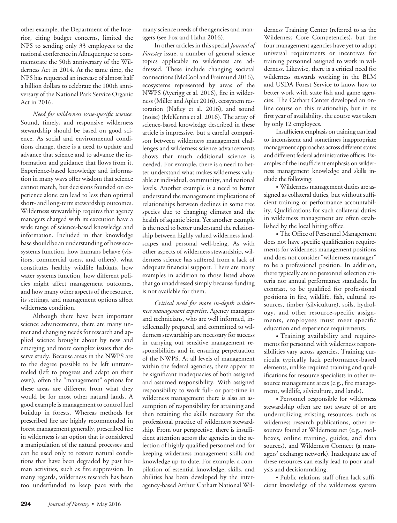other example, the Department of the Interior, citing budget concerns, limited the NPS to sending only 33 employees to the national conference in Albuquerque to commemorate the 50th anniversary of the Wilderness Act in 2014. At the same time, the NPS has requested an increase of almost half a billion dollars to celebrate the 100th anniversary of the National Park Service Organic Act in 2016.

*Need for wilderness issue-specific science.* Sound, timely, and responsive wilderness stewardship should be based on good science. As social and environmental conditions change, there is a need to update and advance that science and to advance the information and guidance that flows from it. Experience-based knowledge and information in many ways offer wisdom that science cannot match, but decisions founded on experience alone can lead to less than optimal short- and long-term stewardship outcomes. Wilderness stewardship requires that agency managers charged with its execution have a wide range of science-based knowledge and information. Included in that knowledge base should be an understanding of how ecosystems function, how humans behave (visitors, commercial users, and others), what constitutes healthy wildlife habitats, how water systems function, how different policies might affect management outcomes, and how many other aspects of the resource, its settings, and management options affect wilderness condition.

Although there have been important science advancements, there are many unmet and changing needs for research and applied science brought about by new and emerging and more complex issues that deserve study. Because areas in the NWPS are to the degree possible to be left untrammeled (left to progress and adapt on their own), often the "management" options for these areas are different from what they would be for most other natural lands. A good example is management to control fuel buildup in forests. Whereas methods for prescribed fire are highly recommended in forest management generally, prescribed fire in wilderness is an option that is considered a manipulation of the natural processes and can be used only to restore natural conditions that have been degraded by past human activities, such as fire suppression. In many regards, wilderness research has been too underfunded to keep pace with the

many science needs of the agencies and managers (see Fox and Hahn 2016).

In other articles in this special *Journal of Forestry* issue, a number of general science topics applicable to wilderness are addressed. These include changing societal connections (McCool and Freimund 2016), ecosystems represented by areas of the NWPS (Aycrigg et al. 2016), fire in wilderness (Miller and Aplet 2016), ecosystem restoration (Naficy et al. 2016), and sound (noise) (McKenna et al. 2016). The array of science-based knowledge described in these article is impressive, but a careful comparison between wilderness management challenges and wilderness science advancements shows that much additional science is needed. For example, there is a need to better understand what makes wilderness valuable at individual, community, and national levels. Another example is a need to better understand the management implications of relationships between declines in some tree species due to changing climates and the health of aquatic biota. Yet another example is the need to better understand the relationship between highly valued wilderness landscapes and personal well-being. As with other aspects of wilderness stewardship, wilderness science has suffered from a lack of adequate financial support. There are many examples in addition to those listed above that go unaddressed simply because funding is not available for them.

*Critical need for more in-depth wilderness management expertise.* Agency managers and technicians, who are well informed, intellectually prepared, and committed to wilderness stewardship are necessary for success in carrying out sensitive management responsibilities and in ensuring perpetuation of the NWPS. At all levels of management within the federal agencies, there appear to be significant inadequacies of both assigned and assumed responsibility. With assigned responsibility to work full- or part-time in wilderness management there is also an assumption of responsibility for attaining and then retaining the skills necessary for the professional practice of wilderness stewardship. From our perspective, there is insufficient attention across the agencies in the selection of highly qualified personnel and for keeping wilderness management skills and knowledge up-to-date. For example, a compilation of essential knowledge, skills, and abilities has been developed by the interagency-based Arthur Carhart National Wil-

derness Training Center (referred to as the Wilderness Core Competencies), but the four management agencies have yet to adopt universal requirements or incentives for training personnel assigned to work in wilderness. Likewise, there is a critical need for wilderness stewards working in the BLM and USDA Forest Service to know how to better work with state fish and game agencies. The Carhart Center developed an online course on this relationship, but in its first year of availability, the course was taken by only 12 employees.

Insufficient emphasis on training can lead to inconsistent and sometimes inappropriate management approaches across different states and different federal administrative offices. Examples of the insufficient emphasis on wilderness management knowledge and skills include the following:

• Wilderness management duties are assigned as collateral duties, but without sufficient training or performance accountability. Qualifications for such collateral duties in wilderness management are often established by the local hiring office.

• The Office of Personnel Management does not have specific qualification requirements for wilderness management positions and does not consider "wilderness manager" to be a professional position. In addition, there typically are no personnel selection criteria nor annual performance standards. In contrast, to be qualified for professional positions in fire, wildlife, fish, cultural resources, timber (silviculture), soils, hydrology, and other resource-specific assignments, employees must meet specific education and experience requirements.

• Training availability and requirements for personnel with wilderness responsibilities vary across agencies. Training curricula typically lack performance-based elements, unlike required training and qualifications for resource specialists in other resource management areas (e.g., fire management, wildlife, silviculture, and lands).

• Personnel responsible for wilderness stewardship often are not aware of or are underutilizing existing resources, such as wilderness research publications, other resources found at Wilderness.net (e.g., toolboxes, online training, guides, and data sources), and Wilderness Connect (a managers' exchange network). Inadequate use of these resources can easily lead to poor analysis and decisionmaking.

• Public relations staff often lack sufficient knowledge of the wilderness system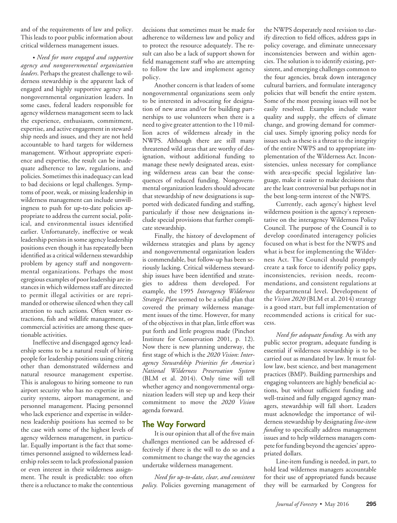and of the requirements of law and policy. This leads to poor public information about critical wilderness management issues.

• *Need for more engaged and supportive agency and nongovernmental organization leaders*. Perhaps the greatest challenge to wilderness stewardship is the apparent lack of engaged and highly supportive agency and nongovernmental organization leaders. In some cases, federal leaders responsible for agency wilderness management seem to lack the experience, enthusiasm, commitment, expertise, and active engagement in stewardship needs and issues, and they are not held accountable to hard targets for wilderness management. Without appropriate experience and expertise, the result can be inadequate adherence to law, regulations, and policies. Sometimes this inadequacy can lead to bad decisions or legal challenges. Symptoms of poor, weak, or missing leadership in wilderness management can include unwillingness to push for up-to-date policies appropriate to address the current social, political, and environmental issues identified earlier. Unfortunately, ineffective or weak leadership persists in some agency leadership positions even though it has repeatedly been identified as a critical wilderness stewardship problem by agency staff and nongovernmental organizations. Perhaps the most egregious examples of poor leadership are instances in which wilderness staff are directed to permit illegal activities or are reprimanded or otherwise silenced when they call attention to such actions. Often water extractions, fish and wildlife management, or commercial activities are among these questionable activities.

Ineffective and disengaged agency leadership seems to be a natural result of hiring people for leadership positions using criteria other than demonstrated wilderness and natural resource management expertise. This is analogous to hiring someone to run airport security who has no expertise in security systems, airport management, and personnel management. Placing personnel who lack experience and expertise in wilderness leadership positions has seemed to be the case with some of the highest levels of agency wilderness management, in particular. Equally important is the fact that sometimes personnel assigned to wilderness leadership roles seem to lack professional passion or even interest in their wilderness assignment. The result is predictable: too often there is a reluctance to make the contentious

decisions that sometimes must be made for adherence to wilderness law and policy and to protect the resource adequately. The result can also be a lack of support shown for field management staff who are attempting to follow the law and implement agency policy.

Another concern is that leaders of some nongovernmental organizations seem only to be interested in advocating for designation of new areas and/or for building partnerships to use volunteers when there is a need to give greater attention to the 110 million acres of wilderness already in the NWPS. Although there are still many threatened wild areas that are worthy of designation, without additional funding to manage these newly designated areas, existing wilderness areas can bear the consequences of reduced funding. Nongovernmental organization leaders should advocate that stewardship of new designations is supported with dedicated funding and staffing, particularly if those new designations include special provisions that further complicate stewardship.

Finally, the history of development of wilderness strategies and plans by agency and nongovernmental organization leaders is commendable, but follow-up has been seriously lacking. Critical wilderness stewardship issues have been identified and strategies to address them developed. For example, the 1995 *Interagency Wilderness Strategic Plan* seemed to be a solid plan that covered the primary wilderness management issues of the time. However, for many of the objectives in that plan, little effort was put forth and little progress made (Pinchot Institute for Conservation 2001, p. 12). Now there is new planning underway, the first stage of which is the *2020 Vision*: *Interagency Stewardship Priorities for America's National Wilderness Preservation System* (BLM et al. 2014). Only time will tell whether agency and nongovernmental organization leaders will step up and keep their commitment to move the *2020 Vision* agenda forward.

## **The Way Forward**

It is our opinion that all of the five main challenges mentioned can be addressed effectively if there is the will to do so and a commitment to change the way the agencies undertake wilderness management.

*Need for up-to-date, clear, and consistent policy.* Policies governing management of

the NWPS desperately need revision to clarify direction to field offices, address gaps in policy coverage, and eliminate unnecessary inconsistencies between and within agencies. The solution is to identify existing, persistent, and emerging challenges common to the four agencies, break down interagency cultural barriers, and formulate interagency policies that will benefit the entire system. Some of the most pressing issues will not be easily resolved. Examples include water quality and supply, the effects of climate change, and growing demand for commercial uses. Simply ignoring policy needs for issues such as these is a threat to the integrity of the entire NWPS and to appropriate implementation of the Wilderness Act. Inconsistencies, unless necessary for compliance with area-specific special legislative language, make it easier to make decisions that are the least controversial but perhaps not in the best long-term interest of the NWPS.

Currently, each agency's highest level wilderness position is the agency's representative on the interagency Wilderness Policy Council. The purpose of the Council is to develop coordinated interagency policies focused on what is best for the NWPS and what is best for implementing the Wilderness Act. The Council should promptly create a task force to identify policy gaps, inconsistencies, revision needs, recommendations, and consistent regulations at the departmental level. Development of the *Vision 2020* (BLM et al. 2014) strategy is a good start, but full implementation of recommended actions is critical for success.

*Need for adequate funding.* As with any public sector program, adequate funding is essential if wilderness stewardship is to be carried out as mandated by law. It must follow law, best science, and best management practices (BMP). Building partnerships and engaging volunteers are highly beneficial actions, but without sufficient funding and well-trained and fully engaged agency managers, stewardship will fall short. Leaders must acknowledge the importance of wilderness stewardship by designating *line-item funding* to specifically address management issues and to help wilderness managers compete for funding beyond the agencies' appropriated dollars.

Line-item funding is needed, in part, to hold lead wilderness managers accountable for their use of appropriated funds because they will be earmarked by Congress for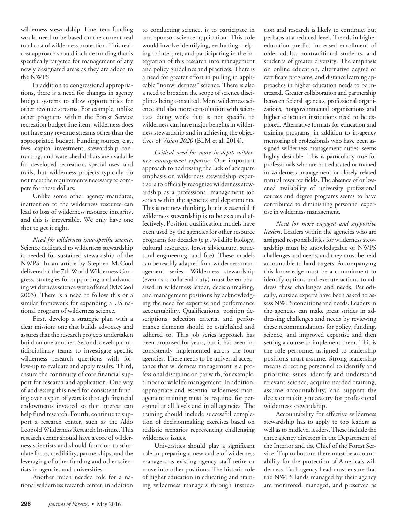wilderness stewardship. Line-item funding would need to be based on the current real total cost of wilderness protection. This realcost approach should include funding that is specifically targeted for management of any newly designated areas as they are added to the NWPS.

In addition to congressional appropriations, there is a need for changes in agency budget systems to allow opportunities for other revenue streams. For example, unlike other programs within the Forest Service recreation budget line item, wilderness does not have any revenue streams other than the appropriated budget. Funding sources, e.g., fees, capital investment, stewardship contracting, and watershed dollars are available for developed recreation, special uses, and trails, but wilderness projects typically do not meet the requirements necessary to compete for these dollars.

Unlike some other agency mandates, inattention to the wilderness resource can lead to loss of wilderness resource integrity, and this is irreversible. We only have one shot to get it right.

*Need for wilderness issue-specific science*. Science dedicated to wilderness stewardship is needed for sustained stewardship of the NWPS. In an article by Stephen McCool delivered at the 7th World Wilderness Congress, strategies for supporting and advancing wilderness science were offered (McCool 2003). There is a need to follow this or a similar framework for expanding a US national program of wilderness science.

First, develop a strategic plan with a clear mission: one that builds advocacy and assures that the research projects undertaken build on one another. Second, develop multidisciplinary teams to investigate specific wilderness research questions with follow-up to evaluate and apply results. Third, ensure the continuity of core financial support for research and application. One way of addressing this need for consistent funding over a span of years is through financial endowments invested so that interest can help fund research. Fourth, continue to support a research center, such as the Aldo Leopold Wilderness Research Institute. This research center should have a core of wilderness scientists and should function to stimulate focus, credibility, partnerships, and the leveraging of other funding and other scientists in agencies and universities.

Another much needed role for a national wilderness research center, in addition

to conducting science, is to participate in and sponsor science application. This role would involve identifying, evaluating, helping to interpret, and participating in the integration of this research into management and policy guidelines and practices. There is a need for greater effort in pulling in applicable "nonwilderness" science. There is also a need to broaden the scope of science disciplines being consulted. More wilderness science and also more consultation with scientists doing work that is not specific to wilderness can have major benefits in wilderness stewardship and in achieving the objectives of *Vision 2020* (BLM et al. 2014).

*Critical need for more in-depth wilderness management expertise*. One important approach to addressing the lack of adequate emphasis on wilderness stewardship expertise is to officially recognize wilderness stewardship as a professional management job series within the agencies and departments. This is not new thinking, but it is essential if wilderness stewardship is to be executed effectively. Position qualification models have been used by the agencies for other resource programs for decades (e.g., wildlife biology, cultural resources, forest silviculture, structural engineering, and fire). These models can be readily adapted for a wilderness management series. Wilderness stewardship (even as a collateral duty) must be emphasized in wilderness leader, decisionmaking, and management positions by acknowledging the need for expertise and performance accountability. Qualifications, position descriptions, selection criteria, and performance elements should be established and adhered to. This job series approach has been proposed for years, but it has been inconsistently implemented across the four agencies. There needs to be universal acceptance that wilderness management is a professional discipline on par with, for example, timber or wildlife management. In addition, appropriate and essential wilderness management training must be required for personnel at all levels and in all agencies. The training should include successful completion of decisionmaking exercises based on realistic scenarios representing challenging wilderness issues.

Universities should play a significant role in preparing a new cadre of wilderness managers as existing agency staff retire or move into other positions. The historic role of higher education in educating and training wilderness managers through instruc-

tion and research is likely to continue, but perhaps at a reduced level. Trends in higher education predict increased enrollment of older adults, nontraditional students, and students of greater diversity. The emphasis on online education, alternative degree or certificate programs, and distance learning approaches in higher education needs to be increased. Greater collaboration and partnership between federal agencies, professional organizations, nongovernmental organizations and higher education institutions need to be explored. Alternative formats for education and training programs, in addition to in-agency mentoring of professionals who have been assigned wilderness management duties, seems highly desirable. This is particularly true for professionals who are not educated or trained in wilderness management or closely related natural resource fields. The absence of or lessened availability of university professional courses and degree programs seems to have contributed to diminishing personnel expertise in wilderness management.

*Need for more engaged and supportive leaders*. Leaders within the agencies who are assigned responsibilities for wilderness stewardship must be knowledgeable of NWPS challenges and needs, and they must be held accountable to hard targets. Accompanying this knowledge must be a commitment to identify options and execute actions to address these challenges and needs. Periodically, outside experts have been asked to assess NWPS conditions and needs. Leaders in the agencies can make great strides in addressing challenges and needs by reviewing these recommendations for policy, funding, science, and improved expertise and then setting a course to implement them. This is the role personnel assigned to leadership positions must assume. Strong leadership means directing personnel to identify and prioritize issues, identify and understand relevant science, acquire needed training, assume accountability, and support the decisionmaking necessary for professional wilderness stewardship.

Accountability for effective wilderness stewardship has to apply to top leaders as well as to midlevel leaders. These include the three agency directors in the Department of the Interior and the Chief of the Forest Service. Top to bottom there must be accountability for the protection of America's wilderness. Each agency head must ensure that the NWPS lands managed by their agency are monitored, managed, and preserved as